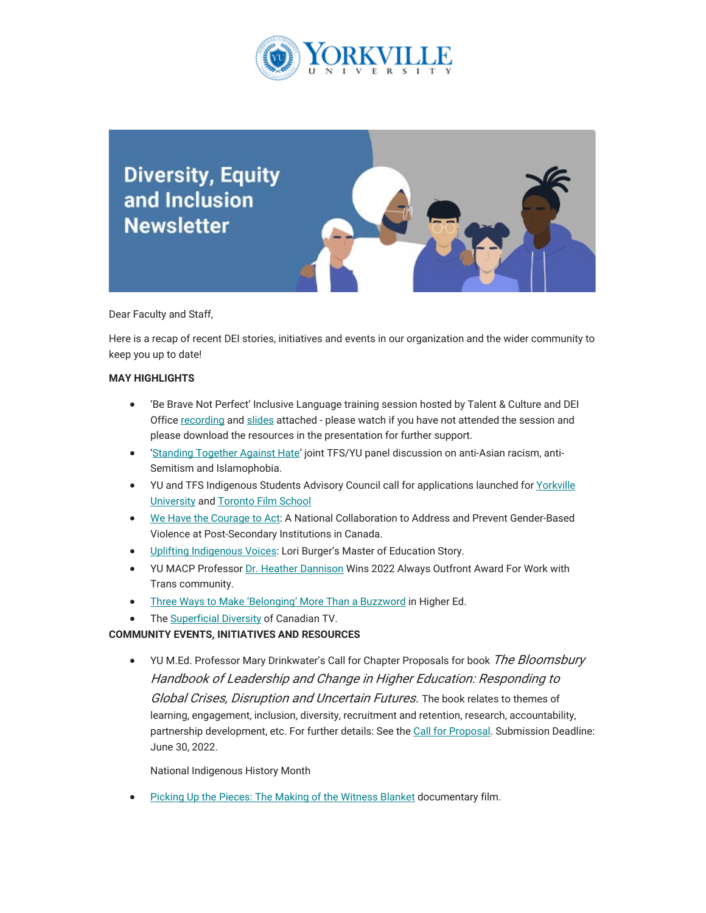

## **Diversity, Equity** and Inclusion **Newsletter**

Dear Faculty and Staff,

Here is a recap of recent DEI stories, initiatives and events in our organization and the wider community to keep you up to date!

## **MAY HIGHLIGHTS**

- 'Be Brave Not Perfect' Inclusive Language training session hosted by Talent & Culture and DEI Office [recording](https://can01.safelinks.protection.outlook.com/?url=https%3A%2F%2Fyorkvilleu-tfs.zoom.us%2Frec%2Fshare%2FNPerSt6_gcNjlls95qT_jOriU3jlQGaiuLgb4m2AVCGN2DbCxk--1bXmQ0U1ppoy.0UQehI26yWY_aEpS&data=05%7C01%7Cmfraser%40yorkvilleu.ca%7C0605194fd9d246feabdb08da4d5b3456%7C8e5c33be6efe45efb1956787de8fd649%7C0%7C0%7C637907351493741597%7CUnknown%7CTWFpbGZsb3d8eyJWIjoiMC4wLjAwMDAiLCJQIjoiV2luMzIiLCJBTiI6Ik1haWwiLCJXVCI6Mn0%3D%7C3000%7C%7C%7C&sdata=gZhcczE5UAPLPqmpKmmJ2PEw9jWeXxRNGK9Jcj%2BucFA%3D&reserved=0) and [slides](https://can01.safelinks.protection.outlook.com/?url=https%3A%2F%2Fmcusercontent.com%2F31c31c4cb64a97c463c9f96c1%2Ffiles%2Ffb3d20da-0c8d-91a7-4012-74e384cba81d%2FBe_Brave_Not_Perfect_Inclusive_Language.01.pptx&data=05%7C01%7Cmfraser%40yorkvilleu.ca%7C0605194fd9d246feabdb08da4d5b3456%7C8e5c33be6efe45efb1956787de8fd649%7C0%7C0%7C637907351493741597%7CUnknown%7CTWFpbGZsb3d8eyJWIjoiMC4wLjAwMDAiLCJQIjoiV2luMzIiLCJBTiI6Ik1haWwiLCJXVCI6Mn0%3D%7C3000%7C%7C%7C&sdata=PCU967xbrhqaSQAvpTz3vYJio3M5UwO%2BdkAxqt2ZWU0%3D&reserved=0) attached - please watch if you have not attended the session and please download the resources in the presentation for further support.
- ['Standing Together Against Hate'](https://can01.safelinks.protection.outlook.com/?url=https%3A%2F%2Fwww.youtube.com%2Fwatch%3Fv%3Dt6BcGxH5L2k&data=05%7C01%7Cmfraser%40yorkvilleu.ca%7C0605194fd9d246feabdb08da4d5b3456%7C8e5c33be6efe45efb1956787de8fd649%7C0%7C0%7C637907351493741597%7CUnknown%7CTWFpbGZsb3d8eyJWIjoiMC4wLjAwMDAiLCJQIjoiV2luMzIiLCJBTiI6Ik1haWwiLCJXVCI6Mn0%3D%7C3000%7C%7C%7C&sdata=A%2FC2RVPRS%2BK8TJcSJoA8iMci%2BDXqW51TjEx0DDiztEA%3D&reserved=0) joint TFS/YU panel discussion on anti-Asian racism, anti-Semitism and Islamophobia.
- YU and TFS Indigenous Students Advisory Council call for applications launched for [Yorkville](https://can01.safelinks.protection.outlook.com/?url=https%3A%2F%2Fwww.yorkvilleu.ca%2Fyu-seeking-applications-for-new-indigenous-students-advisory-council%2F&data=05%7C01%7Cmfraser%40yorkvilleu.ca%7C0605194fd9d246feabdb08da4d5b3456%7C8e5c33be6efe45efb1956787de8fd649%7C0%7C0%7C637907351493741597%7CUnknown%7CTWFpbGZsb3d8eyJWIjoiMC4wLjAwMDAiLCJQIjoiV2luMzIiLCJBTiI6Ik1haWwiLCJXVCI6Mn0%3D%7C3000%7C%7C%7C&sdata=YreOnWUTBQ6A%2Bt4Wrl4KxQDdngc4wAMUT5b7D1zjXm4%3D&reserved=0) [University](https://can01.safelinks.protection.outlook.com/?url=https%3A%2F%2Fwww.yorkvilleu.ca%2Fyu-seeking-applications-for-new-indigenous-students-advisory-council%2F&data=05%7C01%7Cmfraser%40yorkvilleu.ca%7C0605194fd9d246feabdb08da4d5b3456%7C8e5c33be6efe45efb1956787de8fd649%7C0%7C0%7C637907351493741597%7CUnknown%7CTWFpbGZsb3d8eyJWIjoiMC4wLjAwMDAiLCJQIjoiV2luMzIiLCJBTiI6Ik1haWwiLCJXVCI6Mn0%3D%7C3000%7C%7C%7C&sdata=YreOnWUTBQ6A%2Bt4Wrl4KxQDdngc4wAMUT5b7D1zjXm4%3D&reserved=0) and [Toronto Film School](https://can01.safelinks.protection.outlook.com/?url=https%3A%2F%2Fwww.torontofilmschool.ca%2Fblog%2Ftfs-seeking-applications-for-new-indigenous-students-advisory-council%2F&data=05%7C01%7Cmfraser%40yorkvilleu.ca%7C0605194fd9d246feabdb08da4d5b3456%7C8e5c33be6efe45efb1956787de8fd649%7C0%7C0%7C637907351493741597%7CUnknown%7CTWFpbGZsb3d8eyJWIjoiMC4wLjAwMDAiLCJQIjoiV2luMzIiLCJBTiI6Ik1haWwiLCJXVCI6Mn0%3D%7C3000%7C%7C%7C&sdata=z%2BsJB1h2BBnPXRsJ%2BZFiZhVGQdJsfy6rtUfQ4CFmpsQ%3D&reserved=0)
- [We Have the Courage to Act:](https://can01.safelinks.protection.outlook.com/?url=https%3A%2F%2Fwww.vawlearningnetwork.ca%2Fwebinars%2Frecorded_resource_spotlights%2Fwebcast_10.html&data=05%7C01%7Cmfraser%40yorkvilleu.ca%7C0605194fd9d246feabdb08da4d5b3456%7C8e5c33be6efe45efb1956787de8fd649%7C0%7C0%7C637907351493741597%7CUnknown%7CTWFpbGZsb3d8eyJWIjoiMC4wLjAwMDAiLCJQIjoiV2luMzIiLCJBTiI6Ik1haWwiLCJXVCI6Mn0%3D%7C3000%7C%7C%7C&sdata=O9dH9u%2BPauECbVbxI0rsFfSahLSocedxLoZKebk4EG0%3D&reserved=0) A National Collaboration to Address and Prevent Gender-Based Violence at Post-Secondary Institutions in Canada.
- [Uplifting Indigenous Voices:](https://can01.safelinks.protection.outlook.com/?url=https%3A%2F%2Fwww.yorkvilleu.ca%2Fuplifting-indigenous-voices-lori-burgers-master-of-education-story%2F&data=05%7C01%7Cmfraser%40yorkvilleu.ca%7C0605194fd9d246feabdb08da4d5b3456%7C8e5c33be6efe45efb1956787de8fd649%7C0%7C0%7C637907351493741597%7CUnknown%7CTWFpbGZsb3d8eyJWIjoiMC4wLjAwMDAiLCJQIjoiV2luMzIiLCJBTiI6Ik1haWwiLCJXVCI6Mn0%3D%7C3000%7C%7C%7C&sdata=%2F4tPoCc0Cc3nSJbfB4JbkNkHG1I%2BOznI6BEqzloS80M%3D&reserved=0) Lori Burger's Master of Education Story.
- YU MACP Professor [Dr. Heather Dannison](https://can01.safelinks.protection.outlook.com/?url=https%3A%2F%2Fwww.yorkvilleu.ca%2Fyu-prof-wins-2022-always-outfront-award-for-work-with-trans-community%2F&data=05%7C01%7Cmfraser%40yorkvilleu.ca%7C0605194fd9d246feabdb08da4d5b3456%7C8e5c33be6efe45efb1956787de8fd649%7C0%7C0%7C637907351493741597%7CUnknown%7CTWFpbGZsb3d8eyJWIjoiMC4wLjAwMDAiLCJQIjoiV2luMzIiLCJBTiI6Ik1haWwiLCJXVCI6Mn0%3D%7C3000%7C%7C%7C&sdata=VY2KnIqEgFrgvRPVSF66OL6R0lrZI7mgxiWCHOEwDwc%3D&reserved=0) Wins 2022 Always Outfront Award For Work with Trans community.
- [Three Ways to Make 'Belonging' More Than a Buzzword](https://can01.safelinks.protection.outlook.com/?url=https%3A%2F%2Fwww.academica.ca%2Ftop-ten%2Fthree-ways-consider-%25E2%2580%259Cbelonging%25E2%2580%259D-postsecondary-context-opinion%3Fmc_cid%3Da8115ed589%26mc_eid%3D1a7e9bb5a6&data=05%7C01%7Cmfraser%40yorkvilleu.ca%7C0605194fd9d246feabdb08da4d5b3456%7C8e5c33be6efe45efb1956787de8fd649%7C0%7C0%7C637907351493741597%7CUnknown%7CTWFpbGZsb3d8eyJWIjoiMC4wLjAwMDAiLCJQIjoiV2luMzIiLCJBTiI6Ik1haWwiLCJXVCI6Mn0%3D%7C3000%7C%7C%7C&sdata=aIB2dX2NJSHH9ExC6T08WnqV3CYO9FdRfEc%2BWw5xaA4%3D&reserved=0) in Higher Ed.
- The [Superficial Diversity](https://can01.safelinks.protection.outlook.com/?url=https%3A%2F%2Fthewalrus.ca%2Fcanadian-television%2F&data=05%7C01%7Cmfraser%40yorkvilleu.ca%7C0605194fd9d246feabdb08da4d5b3456%7C8e5c33be6efe45efb1956787de8fd649%7C0%7C0%7C637907351493741597%7CUnknown%7CTWFpbGZsb3d8eyJWIjoiMC4wLjAwMDAiLCJQIjoiV2luMzIiLCJBTiI6Ik1haWwiLCJXVCI6Mn0%3D%7C3000%7C%7C%7C&sdata=a1sRxs3W37Behf6YLrW0FKcsAjp%2BnvtPFqUp%2BQB2IyA%3D&reserved=0) of Canadian TV.

## **COMMUNITY EVENTS, INITIATIVES AND RESOURCES**

• YU M.Ed. Professor Mary Drinkwater's Call for Chapter Proposals for book The Bloomsbury Handbook of Leadership and Change in Higher Education: Responding to Global Crises, Disruption and Uncertain Futures. The book relates to themes of learning, engagement, inclusion, diversity, recruitment and retention, research, accountability, partnership development, etc. For further details: See the [Call for Proposal.](https://can01.safelinks.protection.outlook.com/?url=https%3A%2F%2Fwww.dropbox.com%2Fscl%2Ffi%2Fzg14kzro1bzn582so6p9j%2FFINAL-CFP-Ldshp-in-Higher-Education-May-13.docx%3Fdl%3D0%26rlkey%3Dnsezqbhkr0ni4mqfuahq22r6l&data=05%7C01%7Cmfraser%40yorkvilleu.ca%7C0605194fd9d246feabdb08da4d5b3456%7C8e5c33be6efe45efb1956787de8fd649%7C0%7C0%7C637907351493741597%7CUnknown%7CTWFpbGZsb3d8eyJWIjoiMC4wLjAwMDAiLCJQIjoiV2luMzIiLCJBTiI6Ik1haWwiLCJXVCI6Mn0%3D%7C3000%7C%7C%7C&sdata=Q1lQLCGqZ1E6VCRHZw3iU0C9w461Xo%2FmJdaiO4ySPVA%3D&reserved=0) Submission Deadline: June 30, 2022.

National Indigenous History Month

• [Picking Up the Pieces: The Making of the Witness Blanket](https://can01.safelinks.protection.outlook.com/?url=https%3A%2F%2Fhumanrights.ca%2Fstory%2Fpicking-up-the-pieces-the-making-of-the-witness-blanket&data=05%7C01%7Cmfraser%40yorkvilleu.ca%7C0605194fd9d246feabdb08da4d5b3456%7C8e5c33be6efe45efb1956787de8fd649%7C0%7C0%7C637907351493741597%7CUnknown%7CTWFpbGZsb3d8eyJWIjoiMC4wLjAwMDAiLCJQIjoiV2luMzIiLCJBTiI6Ik1haWwiLCJXVCI6Mn0%3D%7C3000%7C%7C%7C&sdata=R2m9mL2TMHHcgZAD3NWY2YcuOA4mU2fA%2BML6yoolSm4%3D&reserved=0) documentary film.